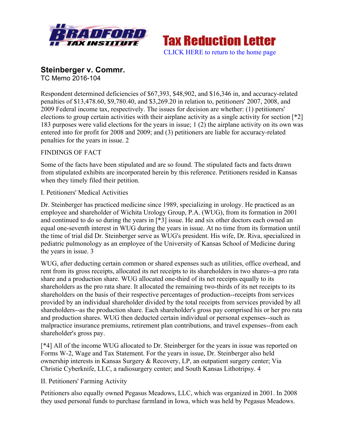



# **Steinberger v. Commr.**

TC Memo 2016-104

Respondent determined deficiencies of \$67,393, \$48,902, and \$16,346 in, and accuracy-related penalties of \$13,478.60, \$9,780.40, and \$3,269.20 in relation to, petitioners' 2007, 2008, and 2009 Federal income tax, respectively. The issues for decision are whether: (1) petitioners' elections to group certain activities with their airplane activity as a single activity for section [\*2] 183 purposes were valid elections for the years in issue; 1 (2) the airplane activity on its own was entered into for profit for 2008 and 2009; and (3) petitioners are liable for accuracy-related penalties for the years in issue. 2

## FINDINGS OF FACT

Some of the facts have been stipulated and are so found. The stipulated facts and facts drawn from stipulated exhibits are incorporated herein by this reference. Petitioners resided in Kansas when they timely filed their petition.

## I. Petitioners' Medical Activities

Dr. Steinberger has practiced medicine since 1989, specializing in urology. He practiced as an employee and shareholder of Wichita Urology Group, P.A. (WUG), from its formation in 2001 and continued to do so during the years in [\*3] issue. He and six other doctors each owned an equal one-seventh interest in WUG during the years in issue. At no time from its formation until the time of trial did Dr. Steinberger serve as WUG's president. His wife, Dr. Riva, specialized in pediatric pulmonology as an employee of the University of Kansas School of Medicine during the years in issue. 3

WUG, after deducting certain common or shared expenses such as utilities, office overhead, and rent from its gross receipts, allocated its net receipts to its shareholders in two shares--a pro rata share and a production share. WUG allocated one-third of its net receipts equally to its shareholders as the pro rata share. It allocated the remaining two-thirds of its net receipts to its shareholders on the basis of their respective percentages of production--receipts from services provided by an individual shareholder divided by the total receipts from services provided by all shareholders--as the production share. Each shareholder's gross pay comprised his or her pro rata and production shares. WUG then deducted certain individual or personal expenses--such as malpractice insurance premiums, retirement plan contributions, and travel expenses--from each shareholder's gross pay.

[\*4] All of the income WUG allocated to Dr. Steinberger for the years in issue was reported on Forms W-2, Wage and Tax Statement. For the years in issue, Dr. Steinberger also held ownership interests in Kansas Surgery & Recovery, LP, an outpatient surgery center; Via Christie Cyberknife, LLC, a radiosurgery center; and South Kansas Lithotripsy. 4

## II. Petitioners' Farming Activity

Petitioners also equally owned Pegasus Meadows, LLC, which was organized in 2001. In 2008 they used personal funds to purchase farmland in Iowa, which was held by Pegasus Meadows.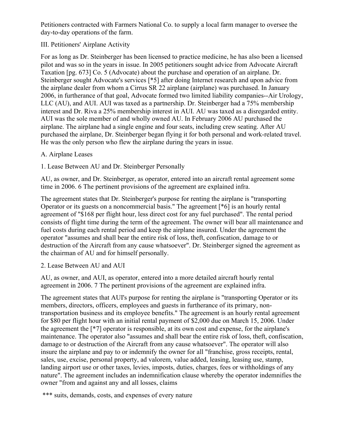Petitioners contracted with Farmers National Co. to supply a local farm manager to oversee the day-to-day operations of the farm.

## III. Petitioners' Airplane Activity

For as long as Dr. Steinberger has been licensed to practice medicine, he has also been a licensed pilot and was so in the years in issue. In 2005 petitioners sought advice from Advocate Aircraft Taxation [pg. 673] Co. 5 (Advocate) about the purchase and operation of an airplane. Dr. Steinberger sought Advocate's services [\*5] after doing Internet research and upon advice from the airplane dealer from whom a Cirrus SR 22 airplane (airplane) was purchased. In January 2006, in furtherance of that goal, Advocate formed two limited liability companies--Air Urology, LLC (AU), and AUI. AUI was taxed as a partnership. Dr. Steinberger had a 75% membership interest and Dr. Riva a 25% membership interest in AUI. AU was taxed as a disregarded entity. AUI was the sole member of and wholly owned AU. In February 2006 AU purchased the airplane. The airplane had a single engine and four seats, including crew seating. After AU purchased the airplane, Dr. Steinberger began flying it for both personal and work-related travel. He was the only person who flew the airplane during the years in issue.

#### A. Airplane Leases

1. Lease Between AU and Dr. Steinberger Personally

AU, as owner, and Dr. Steinberger, as operator, entered into an aircraft rental agreement some time in 2006. 6 The pertinent provisions of the agreement are explained infra.

The agreement states that Dr. Steinberger's purpose for renting the airplane is "transporting Operator or its guests on a noncommercial basis." The agreement [\*6] is an hourly rental agreement of "\$168 per flight hour, less direct cost for any fuel purchased". The rental period consists of flight time during the term of the agreement. The owner will bear all maintenance and fuel costs during each rental period and keep the airplane insured. Under the agreement the operator "assumes and shall bear the entire risk of loss, theft, confiscation, damage to or destruction of the Aircraft from any cause whatsoever". Dr. Steinberger signed the agreement as the chairman of AU and for himself personally.

2. Lease Between AU and AUI

AU, as owner, and AUI, as operator, entered into a more detailed aircraft hourly rental agreement in 2006. 7 The pertinent provisions of the agreement are explained infra.

The agreement states that AUI's purpose for renting the airplane is "transporting Operator or its members, directors, officers, employees and guests in furtherance of its primary, nontransportation business and its employee benefits." The agreement is an hourly rental agreement for \$80 per flight hour with an initial rental payment of \$2,000 due on March 15, 2006. Under the agreement the [\*7] operator is responsible, at its own cost and expense, for the airplane's maintenance. The operator also "assumes and shall bear the entire risk of loss, theft, confiscation, damage to or destruction of the Aircraft from any cause whatsoever". The operator will also insure the airplane and pay to or indemnify the owner for all "franchise, gross receipts, rental, sales, use, excise, personal property, ad valorem, value added, leasing, leasing use, stamp, landing airport use or other taxes, levies, imposts, duties, charges, fees or withholdings of any nature". The agreement includes an indemnification clause whereby the operator indemnifies the owner "from and against any and all losses, claims

\*\*\* suits, demands, costs, and expenses of every nature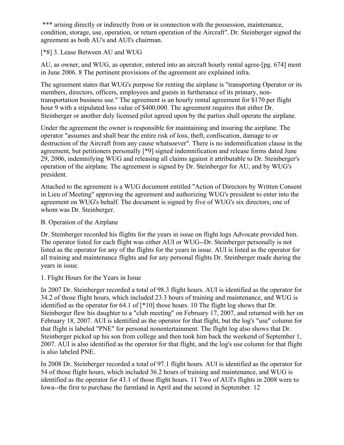\*\*\* arising directly or indirectly from or in connection with the possession, maintenance, condition, storage, use, operation, or return operation of the Aircraft". Dr. Steinberger signed the agreement as both AU's and AUI's chairman.

[\*8] 3. Lease Between AU and WUG

AU, as owner, and WUG, as operator, entered into an aircraft hourly rental agree-[pg. 674] ment in June 2006. 8 The pertinent provisions of the agreement are explained infra.

The agreement states that WUG's purpose for renting the airplane is "transporting Operator or its members, directors, officers, employees and guests in furtherance of its primary, nontransportation business use." The agreement is an hourly rental agreement for \$170 per flight hour 9 with a stipulated loss value of \$400,000. The agreement requires that either Dr. Steinberger or another duly licensed pilot agreed upon by the parties shall operate the airplane.

Under the agreement the owner is responsible for maintaining and insuring the airplane. The operator "assumes and shall bear the entire risk of loss, theft, confiscation, damage to or destruction of the Aircraft from any cause whatsoever". There is no indemnification clause in the agreement, but petitioners personally [\*9] signed indemnification and release forms dated June 29, 2006, indemnifying WUG and releasing all claims against it attributable to Dr. Steinberger's operation of the airplane. The agreement is signed by Dr. Steinberger for AU, and by WUG's president.

Attached to the agreement is a WUG document entitled "Action of Directors by Written Consent in Lieu of Meeting" approving the agreement and authorizing WUG's president to enter into the agreement on WUG's behalf. The document is signed by five of WUG's six directors, one of whom was Dr. Steinberger.

#### B. Operation of the Airplane

Dr. Steinberger recorded his flights for the years in issue on flight logs Advocate provided him. The operator listed for each flight was either AUI or WUG--Dr. Steinberger personally is not listed as the operator for any of the flights for the years in issue. AUI is listed as the operator for all training and maintenance flights and for any personal flights Dr. Steinberger made during the years in issue.

## 1. Flight Hours for the Years in Issue

In 2007 Dr. Steinberger recorded a total of 98.3 flight hours. AUI is identified as the operator for 34.2 of those flight hours, which included 23.3 hours of training and maintenance, and WUG is identified as the operator for 64.1 of [\*10] those hours. 10 The flight log shows that Dr. Steinberger flew his daughter to a "club meeting" on February 17, 2007, and returned with her on February 18, 2007. AUI is identified as the operator for that flight, but the log's "use" column for that flight is labeled "PNE" for personal nonentertainment. The flight log also shows that Dr. Steinberger picked up his son from college and then took him back the weekend of September 1, 2007. AUI is also identified as the operator for that flight, and the log's use column for that flight is also labeled PNE.

In 2008 Dr. Steinberger recorded a total of 97.1 flight hours. AUI is identified as the operator for 54 of those flight hours, which included 36.2 hours of training and maintenance, and WUG is identified as the operator for 43.1 of those flight hours. 11 Two of AUI's flights in 2008 were to Iowa--the first to purchase the farmland in April and the second in September. 12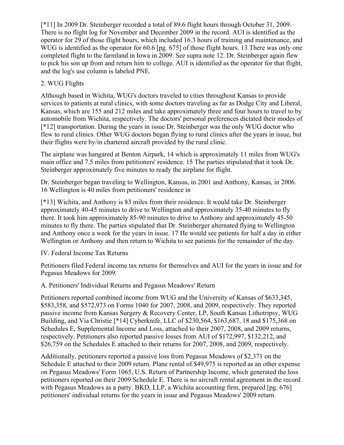[\*11] In 2009 Dr. Steinberger recorded a total of 89.6 flight hours through October 31, 2009. There is no flight log for November and December 2009 in the record. AUI is identified as the operator for 29 of those flight hours, which included 16.3 hours of training and maintenance, and WUG is identified as the operator for 60.6 [pg. 675] of those flight hours. 13 There was only one completed flight to the farmland in Iowa in 2009. See supra note 12. Dr. Steinberger again flew to pick his son up from and return him to college. AUI is identified as the operator for that flight, and the log's use column is labeled PNE.

# 2. WUG Flights

Although based in Wichita, WUG's doctors traveled to cities throughout Kansas to provide services to patients at rural clinics, with some doctors traveling as far as Dodge City and Liberal, Kansas, which are 155 and 212 miles and take approximately three and four hours to travel to by automobile from Wichita, respectively. The doctors' personal preferences dictated their modes of [\*12] transportation. During the years in issue Dr. Steinberger was the only WUG doctor who flew to rural clinics. Other WUG doctors began flying to rural clinics after the years in issue, but their flights were by/in chartered aircraft provided by the rural clinic.

The airplane was hangared at Benton Airpark, 14 which is approximately 11 miles from WUG's main office and 7.5 miles from petitioners' residence. 15 The parties stipulated that it took Dr. Steinberger approximately five minutes to ready the airplane for flight.

Dr. Steinberger began traveling to Wellington, Kansas, in 2001 and Anthony, Kansas, in 2006. 16 Wellington is 40 miles from petitioners' residence in

[\*13] Wichita, and Anthony is 83 miles from their residence. It would take Dr. Steinberger approximately 40-45 minutes to drive to Wellington and approximately 35-40 minutes to fly there. It took him approximately 85-90 minutes to drive to Anthony and approximately 45-50 minutes to fly there. The parties stipulated that Dr. Steinberger alternated flying to Wellington and Anthony once a week for the years in issue. 17 He would see patients for half a day in either Wellington or Anthony and then return to Wichita to see patients for the remainder of the day.

## IV. Federal Income Tax Returns

Petitioners filed Federal income tax returns for themselves and AUI for the years in issue and for Pegasus Meadows for 2009.

A. Petitioners' Individual Returns and Pegasus Meadows' Return

Petitioners reported combined income from WUG and the University of Kansas of \$633,345, \$583,358, and \$572,973 on Forms 1040 for 2007, 2008, and 2009, respectively. They reported passive income from Kansas Surgery & Recovery Center, LP, South Kansas Lithotripsy, WUG Building, and Via Christie [\*14] Cyberknife, LLC of \$230,564, \$163,687, 18 and \$175,368 on Schedules E, Supplemental Income and Loss, attached to their 2007, 2008, and 2009 returns, respectively. Petitioners also reported passive losses from AUI of \$172,997, \$132,212, and \$26,759 on the Schedules E attached to their returns for 2007, 2008, and 2009, respectively.

Additionally, petitioners reported a passive loss from Pegasus Meadows of \$2,371 on the Schedule E attached to their 2009 return. Plane rental of \$49,975 is reported as an other expense on Pegasus Meadows' Form 1065, U.S. Return of Partnership Income, which generated the loss petitioners reported on their 2009 Schedule E. There is no aircraft rental agreement in the record with Pegasus Meadows as a party. BKD, LLP, a Wichita accounting firm, prepared [pg. 676] petitioners' individual returns for the years in issue and Pegasus Meadows' 2009 return.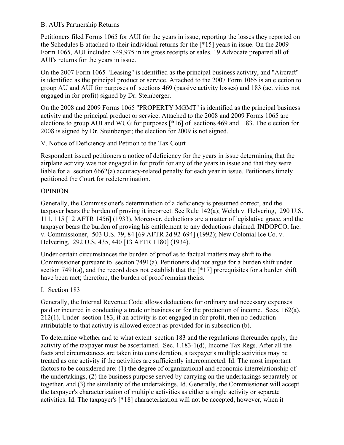## B. AUI's Partnership Returns

Petitioners filed Forms 1065 for AUI for the years in issue, reporting the losses they reported on the Schedules E attached to their individual returns for the [\*15] years in issue. On the 2009 Form 1065, AUI included \$49,975 in its gross receipts or sales. 19 Advocate prepared all of AUI's returns for the years in issue.

On the 2007 Form 1065 "Leasing" is identified as the principal business activity, and "Aircraft" is identified as the principal product or service. Attached to the 2007 Form 1065 is an election to group AU and AUI for purposes of sections 469 (passive activity losses) and 183 (activities not engaged in for profit) signed by Dr. Steinberger.

On the 2008 and 2009 Forms 1065 "PROPERTY MGMT" is identified as the principal business activity and the principal product or service. Attached to the 2008 and 2009 Forms 1065 are elections to group AUI and WUG for purposes [\*16] of sections 469 and 183. The election for 2008 is signed by Dr. Steinberger; the election for 2009 is not signed.

V. Notice of Deficiency and Petition to the Tax Court

Respondent issued petitioners a notice of deficiency for the years in issue determining that the airplane activity was not engaged in for profit for any of the years in issue and that they were liable for a section 6662(a) accuracy-related penalty for each year in issue. Petitioners timely petitioned the Court for redetermination.

## OPINION

Generally, the Commissioner's determination of a deficiency is presumed correct, and the taxpayer bears the burden of proving it incorrect. See Rule 142(a); Welch v. Helvering, 290 U.S. 111, 115 [12 AFTR 1456] (1933). Moreover, deductions are a matter of legislative grace, and the taxpayer bears the burden of proving his entitlement to any deductions claimed. INDOPCO, Inc. v. Commissioner, 503 U.S. 79, 84 [69 AFTR 2d 92-694] (1992); New Colonial Ice Co. v. Helvering, 292 U.S. 435, 440 [13 AFTR 1180] (1934).

Under certain circumstances the burden of proof as to factual matters may shift to the Commissioner pursuant to section 7491(a). Petitioners did not argue for a burden shift under section 7491(a), and the record does not establish that the  $[*17]$  prerequisites for a burden shift have been met; therefore, the burden of proof remains theirs.

I. Section 183

Generally, the Internal Revenue Code allows deductions for ordinary and necessary expenses paid or incurred in conducting a trade or business or for the production of income. Secs. 162(a), 212(1). Under section 183, if an activity is not engaged in for profit, then no deduction attributable to that activity is allowed except as provided for in subsection (b).

To determine whether and to what extent section 183 and the regulations thereunder apply, the activity of the taxpayer must be ascertained. Sec. 1.183-1(d), Income Tax Regs. After all the facts and circumstances are taken into consideration, a taxpayer's multiple activities may be treated as one activity if the activities are sufficiently interconnected. Id. The most important factors to be considered are: (1) the degree of organizational and economic interrelationship of the undertakings, (2) the business purpose served by carrying on the undertakings separately or together, and (3) the similarity of the undertakings. Id. Generally, the Commissioner will accept the taxpayer's characterization of multiple activities as either a single activity or separate activities. Id. The taxpayer's [\*18] characterization will not be accepted, however, when it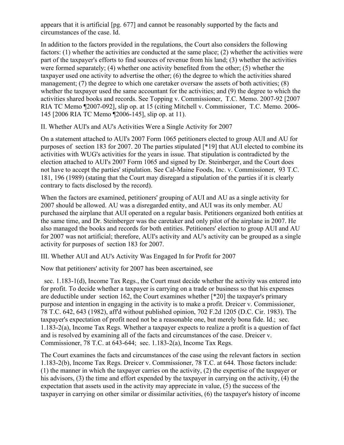appears that it is artificial [pg. 677] and cannot be reasonably supported by the facts and circumstances of the case. Id.

In addition to the factors provided in the regulations, the Court also considers the following factors: (1) whether the activities are conducted at the same place; (2) whether the activities were part of the taxpayer's efforts to find sources of revenue from his land; (3) whether the activities were formed separately; (4) whether one activity benefited from the other; (5) whether the taxpayer used one activity to advertise the other; (6) the degree to which the activities shared management; (7) the degree to which one caretaker oversaw the assets of both activities; (8) whether the taxpayer used the same accountant for the activities; and (9) the degree to which the activities shared books and records. See Topping v. Commissioner, T.C. Memo. 2007-92 [2007 RIA TC Memo ¶2007-092], slip op. at 15 (citing Mitchell v. Commissioner, T.C. Memo. 2006- 145 [2006 RIA TC Memo ¶2006-145], slip op. at 11).

II. Whether AUI's and AU's Activities Were a Single Activity for 2007

On a statement attached to AUI's 2007 Form 1065 petitioners elected to group AUI and AU for purposes of section 183 for 2007. 20 The parties stipulated [\*19] that AUI elected to combine its activities with WUG's activities for the years in issue. That stipulation is contradicted by the election attached to AUI's 2007 Form 1065 and signed by Dr. Steinberger, and the Court does not have to accept the parties' stipulation. See Cal-Maine Foods, Inc. v. Commissioner, 93 T.C. 181, 196 (1989) (stating that the Court may disregard a stipulation of the parties if it is clearly contrary to facts disclosed by the record).

When the factors are examined, petitioners' grouping of AUI and AU as a single activity for 2007 should be allowed. AU was a disregarded entity, and AUI was its only member. AU purchased the airplane that AUI operated on a regular basis. Petitioners organized both entities at the same time, and Dr. Steinberger was the caretaker and only pilot of the airplane in 2007. He also managed the books and records for both entities. Petitioners' election to group AUI and AU for 2007 was not artificial; therefore, AUI's activity and AU's activity can be grouped as a single activity for purposes of section 183 for 2007.

III. Whether AUI and AU's Activity Was Engaged In for Profit for 2007

Now that petitioners' activity for 2007 has been ascertained, see

 sec. 1.183-1(d), Income Tax Regs., the Court must decide whether the activity was entered into for profit. To decide whether a taxpayer is carrying on a trade or business so that his expenses are deductible under section 162, the Court examines whether [\*20] the taxpayer's primary purpose and intention in engaging in the activity is to make a profit. Dreicer v. Commissioner, 78 T.C. 642, 643 (1982), aff'd without published opinion, 702 F.2d 1205 (D.C. Cir. 1983). The taxpayer's expectation of profit need not be a reasonable one, but merely bona fide. Id.; sec. 1.183-2(a), Income Tax Regs. Whether a taxpayer expects to realize a profit is a question of fact and is resolved by examining all of the facts and circumstances of the case. Dreicer v. Commissioner, 78 T.C. at 643-644; sec. 1.183-2(a), Income Tax Regs.

The Court examines the facts and circumstances of the case using the relevant factors in section 1.183-2(b), Income Tax Regs. Dreicer v. Commissioner, 78 T.C. at 644. Those factors include: (1) the manner in which the taxpayer carries on the activity, (2) the expertise of the taxpayer or his advisors, (3) the time and effort expended by the taxpayer in carrying on the activity, (4) the expectation that assets used in the activity may appreciate in value, (5) the success of the taxpayer in carrying on other similar or dissimilar activities, (6) the taxpayer's history of income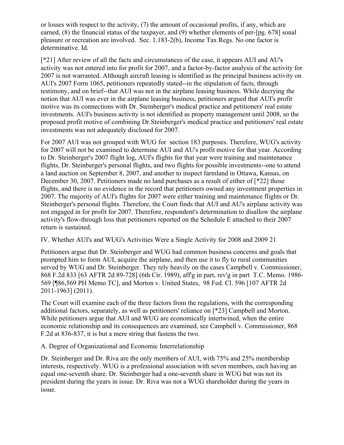or losses with respect to the activity, (7) the amount of occasional profits, if any, which are earned, (8) the financial status of the taxpayer, and (9) whether elements of per-[pg. 678] sonal pleasure or recreation are involved. Sec. 1.183-2(b), Income Tax Regs. No one factor is determinative. Id.

[\*21] After review of all the facts and circumstances of the case, it appears AUI and AU's activity was not entered into for profit for 2007, and a factor-by-factor analysis of the activity for 2007 is not warranted. Although aircraft leasing is identified as the principal business activity on AUI's 2007 Form 1065, petitioners repeatedly stated--in the stipulation of facts, through testimony, and on brief--that AUI was not in the airplane leasing business. While decrying the notion that AUI was ever in the airplane leasing business, petitioners argued that AUI's profit motive was its connections with Dr. Steinberger's medical practice and petitioners' real estate investments. AUI's business activity is not identified as property management until 2008, so the proposed profit motive of combining Dr.Steinberger's medical practice and petitioners' real estate investments was not adequately disclosed for 2007.

For 2007 AUI was not grouped with WUG for section 183 purposes. Therefore, WUG's activity for 2007 will not be examined to determine AUI and AU's profit motive for that year. According to Dr. Steinberger's 2007 flight log, AUI's flights for that year were training and maintenance flights, Dr. Steinberger's personal flights, and two flights for possible investments--one to attend a land auction on September 8, 2007, and another to inspect farmland in Ottawa, Kansas, on December 30, 2007. Petitioners made no land purchases as a result of either of [\*22] those flights, and there is no evidence in the record that petitioners owned any investment properties in 2007. The majority of AUI's flights for 2007 were either training and maintenance flights or Dr. Steinberger's personal flights. Therefore, the Court finds that AUI and AU's airplane activity was not engaged in for profit for 2007. Therefore, respondent's determination to disallow the airplane activity's flow-through loss that petitioners reported on the Schedule E attached to their 2007 return is sustained.

IV. Whether AUI's and WUG's Activities Were a Single Activity for 2008 and 2009 21

Petitioners argue that Dr. Steinberger and WUG had common business concerns and goals that prompted him to form AUI, acquire the airplane, and then use it to fly to rural communities served by WUG and Dr. Steinberger. They rely heavily on the cases Campbell v. Commissioner, 868 F.2d 833 [63 AFTR 2d 89-728] (6th Cir. 1989), aff'g in part, rev'g in part T.C. Memo. 1986- 569 [¶86,569 PH Memo TC], and Morton v. United States, 98 Fed. Cl. 596 [107 AFTR 2d 2011-1963] (2011).

The Court will examine each of the three factors from the regulations, with the corresponding additional factors, separately, as well as petitioners' reliance on [\*23] Campbell and Morton. While petitioners argue that AUI and WUG are economically intertwined, when the entire economic relationship and its consequences are examined, see Campbell v. Commissioner, 868 F.2d at 836-837, it is but a mere string that fastens the two.

A. Degree of Organizational and Economic Interrelationship

Dr. Steinberger and Dr. Riva are the only members of AUI, with 75% and 25% membership interests, respectively. WUG is a professional association with seven members, each having an equal one-seventh share. Dr. Steinberger had a one-seventh share in WUG but was not its president during the years in issue. Dr. Riva was not a WUG shareholder during the years in issue.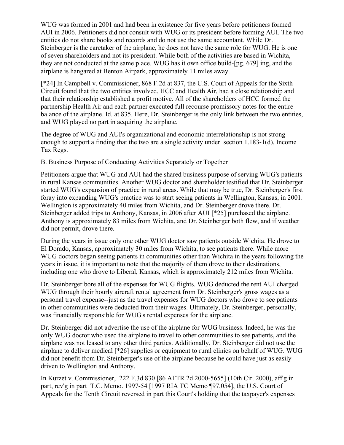WUG was formed in 2001 and had been in existence for five years before petitioners formed AUI in 2006. Petitioners did not consult with WUG or its president before forming AUI. The two entities do not share books and records and do not use the same accountant. While Dr. Steinberger is the caretaker of the airplane, he does not have the same role for WUG. He is one of seven shareholders and not its president. While both of the activities are based in Wichita, they are not conducted at the same place. WUG has it own office build-[pg. 679] ing, and the airplane is hangared at Benton Airpark, approximately 11 miles away.

[\*24] In Campbell v. Commissioner, 868 F.2d at 837, the U.S. Court of Appeals for the Sixth Circuit found that the two entities involved, HCC and Health Air, had a close relationship and that their relationship established a profit motive. All of the shareholders of HCC formed the partnership Health Air and each partner executed full recourse promissory notes for the entire balance of the airplane. Id. at 835. Here, Dr. Steinberger is the only link between the two entities, and WUG played no part in acquiring the airplane.

The degree of WUG and AUI's organizational and economic interrelationship is not strong enough to support a finding that the two are a single activity under section 1.183-1(d), Income Tax Regs.

B. Business Purpose of Conducting Activities Separately or Together

Petitioners argue that WUG and AUI had the shared business purpose of serving WUG's patients in rural Kansas communities. Another WUG doctor and shareholder testified that Dr. Steinberger started WUG's expansion of practice in rural areas. While that may be true, Dr. Steinberger's first foray into expanding WUG's practice was to start seeing patients in Wellington, Kansas, in 2001. Wellington is approximately 40 miles from Wichita, and Dr. Steinberger drove there. Dr. Steinberger added trips to Anthony, Kansas, in 2006 after AUI [\*25] purchased the airplane. Anthony is approximately 83 miles from Wichita, and Dr. Steinberger both flew, and if weather did not permit, drove there.

During the years in issue only one other WUG doctor saw patients outside Wichita. He drove to El Dorado, Kansas, approximately 30 miles from Wichita, to see patients there. While more WUG doctors began seeing patients in communities other than Wichita in the years following the years in issue, it is important to note that the majority of them drove to their destinations, including one who drove to Liberal, Kansas, which is approximately 212 miles from Wichita.

Dr. Steinberger bore all of the expenses for WUG flights. WUG deducted the rent AUI charged WUG through their hourly aircraft rental agreement from Dr. Steinberger's gross wages as a personal travel expense--just as the travel expenses for WUG doctors who drove to see patients in other communities were deducted from their wages. Ultimately, Dr. Steinberger, personally, was financially responsible for WUG's rental expenses for the airplane.

Dr. Steinberger did not advertise the use of the airplane for WUG business. Indeed, he was the only WUG doctor who used the airplane to travel to other communities to see patients, and the airplane was not leased to any other third parties. Additionally, Dr. Steinberger did not use the airplane to deliver medical [\*26] supplies or equipment to rural clinics on behalf of WUG. WUG did not benefit from Dr. Steinberger's use of the airplane because he could have just as easily driven to Wellington and Anthony.

In Kurzet v. Commissioner, 222 F.3d 830 [86 AFTR 2d 2000-5655] (10th Cir. 2000), aff'g in part, rev'g in part T.C. Memo. 1997-54 [1997 RIA TC Memo ¶97,054], the U.S. Court of Appeals for the Tenth Circuit reversed in part this Court's holding that the taxpayer's expenses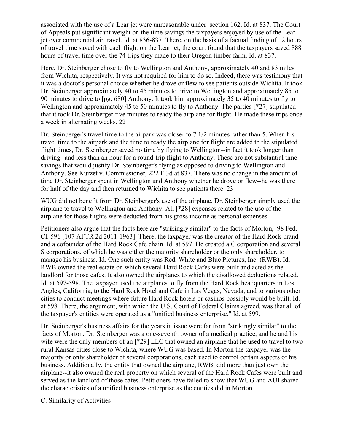associated with the use of a Lear jet were unreasonable under section 162. Id. at 837. The Court of Appeals put significant weight on the time savings the taxpayers enjoyed by use of the Lear jet over commercial air travel. Id. at 836-837. There, on the basis of a factual finding of 12 hours of travel time saved with each flight on the Lear jet, the court found that the taxpayers saved 888 hours of travel time over the 74 trips they made to their Oregon timber farm. Id. at 837.

Here, Dr. Steinberger chose to fly to Wellington and Anthony, approximately 40 and 83 miles from Wichita, respectively. It was not required for him to do so. Indeed, there was testimony that it was a doctor's personal choice whether he drove or flew to see patients outside Wichita. It took Dr. Steinberger approximately 40 to 45 minutes to drive to Wellington and approximately 85 to 90 minutes to drive to [pg. 680] Anthony. It took him approximately 35 to 40 minutes to fly to Wellington and approximately 45 to 50 minutes to fly to Anthony. The parties [\*27] stipulated that it took Dr. Steinberger five minutes to ready the airplane for flight. He made these trips once a week in alternating weeks. 22

Dr. Steinberger's travel time to the airpark was closer to 7 1/2 minutes rather than 5. When his travel time to the airpark and the time to ready the airplane for flight are added to the stipulated flight times, Dr. Steinberger saved no time by flying to Wellington--in fact it took longer than driving--and less than an hour for a round-trip flight to Anthony. These are not substantial time savings that would justify Dr. Steinberger's flying as opposed to driving to Wellington and Anthony. See Kurzet v. Commissioner, 222 F.3d at 837. There was no change in the amount of time Dr. Steinberger spent in Wellington and Anthony whether he drove or flew--he was there for half of the day and then returned to Wichita to see patients there. 23

WUG did not benefit from Dr. Steinberger's use of the airplane. Dr. Steinberger simply used the airplane to travel to Wellington and Anthony. All [\*28] expenses related to the use of the airplane for those flights were deducted from his gross income as personal expenses.

Petitioners also argue that the facts here are "strikingly similar" to the facts of Morton, 98 Fed. Cl. 596 [107 AFTR 2d 2011-1963]. There, the taxpayer was the creator of the Hard Rock brand and a cofounder of the Hard Rock Cafe chain. Id. at 597. He created a C corporation and several S corporations, of which he was either the majority shareholder or the only shareholder, to manage his business. Id. One such entity was Red, White and Blue Pictures, Inc. (RWB). Id. RWB owned the real estate on which several Hard Rock Cafes were built and acted as the landlord for those cafes. It also owned the airplanes to which the disallowed deductions related. Id. at 597-598. The taxpayer used the airplanes to fly from the Hard Rock headquarters in Los Angles, California, to the Hard Rock Hotel and Cafe in Las Vegas, Nevada, and to various other cities to conduct meetings where future Hard Rock hotels or casinos possibly would be built. Id. at 598. There, the argument, with which the U.S. Court of Federal Claims agreed, was that all of the taxpayer's entities were operated as a "unified business enterprise." Id. at 599.

Dr. Steinberger's business affairs for the years in issue were far from "strikingly similar" to the facts of Morton. Dr. Steinberger was a one-seventh owner of a medical practice, and he and his wife were the only members of an [\*29] LLC that owned an airplane that he used to travel to two rural Kansas cities close to Wichita, where WUG was based. In Morton the taxpayer was the majority or only shareholder of several corporations, each used to control certain aspects of his business. Additionally, the entity that owned the airplane, RWB, did more than just own the airplane--it also owned the real property on which several of the Hard Rock Cafes were built and served as the landlord of those cafes. Petitioners have failed to show that WUG and AUI shared the characteristics of a unified business enterprise as the entities did in Morton.

C. Similarity of Activities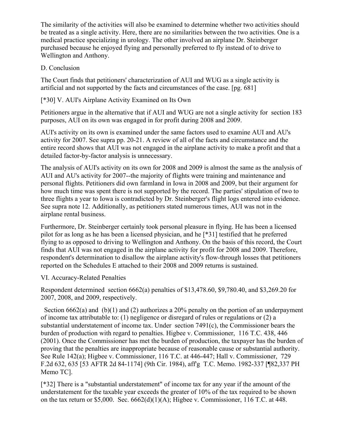The similarity of the activities will also be examined to determine whether two activities should be treated as a single activity. Here, there are no similarities between the two activities. One is a medical practice specializing in urology. The other involved an airplane Dr. Steinberger purchased because he enjoyed flying and personally preferred to fly instead of to drive to Wellington and Anthony.

## D. Conclusion

The Court finds that petitioners' characterization of AUI and WUG as a single activity is artificial and not supported by the facts and circumstances of the case. [pg. 681]

[\*30] V. AUI's Airplane Activity Examined on Its Own

Petitioners argue in the alternative that if AUI and WUG are not a single activity for section 183 purposes, AUI on its own was engaged in for profit during 2008 and 2009.

AUI's activity on its own is examined under the same factors used to examine AUI and AU's activity for 2007. See supra pp. 20-21. A review of all of the facts and circumstance and the entire record shows that AUI was not engaged in the airplane activity to make a profit and that a detailed factor-by-factor analysis is unnecessary.

The analysis of AUI's activity on its own for 2008 and 2009 is almost the same as the analysis of AUI and AU's activity for 2007--the majority of flights were training and maintenance and personal flights. Petitioners did own farmland in Iowa in 2008 and 2009, but their argument for how much time was spent there is not supported by the record. The parties' stipulation of two to three flights a year to Iowa is contradicted by Dr. Steinberger's flight logs entered into evidence. See supra note 12. Additionally, as petitioners stated numerous times, AUI was not in the airplane rental business.

Furthermore, Dr. Steinberger certainly took personal pleasure in flying. He has been a licensed pilot for as long as he has been a licensed physician, and he [\*31] testified that he preferred flying to as opposed to driving to Wellington and Anthony. On the basis of this record, the Court finds that AUI was not engaged in the airplane activity for profit for 2008 and 2009. Therefore, respondent's determination to disallow the airplane activity's flow-through losses that petitioners reported on the Schedules E attached to their 2008 and 2009 returns is sustained.

## VI. Accuracy-Related Penalties

Respondent determined section 6662(a) penalties of \$13,478.60, \$9,780.40, and \$3,269.20 for 2007, 2008, and 2009, respectively.

Section 6662(a) and (b)(1) and (2) authorizes a 20% penalty on the portion of an underpayment of income tax attributable to: (1) negligence or disregard of rules or regulations or (2) a substantial understatement of income tax. Under section 7491(c), the Commissioner bears the burden of production with regard to penalties. Higbee v. Commissioner, 116 T.C. 438, 446 (2001). Once the Commissioner has met the burden of production, the taxpayer has the burden of proving that the penalties are inappropriate because of reasonable cause or substantial authority. See Rule 142(a); Higbee v. Commissioner, 116 T.C. at 446-447; Hall v. Commissioner, 729 F.2d 632, 635 [53 AFTR 2d 84-1174] (9th Cir. 1984), aff'g T.C. Memo. 1982-337 [¶82,337 PH Memo TC].

[\*32] There is a "substantial understatement" of income tax for any year if the amount of the understatement for the taxable year exceeds the greater of 10% of the tax required to be shown on the tax return or \$5,000. Sec.  $6662(d)(1)(A)$ ; Higbee v. Commissioner, 116 T.C. at 448.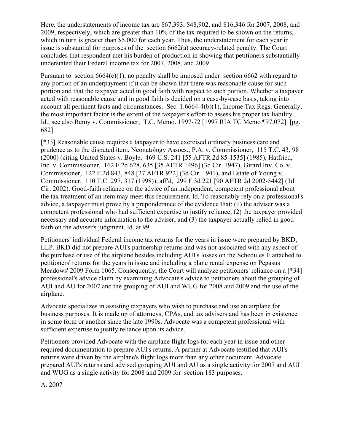Here, the understatements of income tax are \$67,393, \$48,902, and \$16,346 for 2007, 2008, and 2009, respectively, which are greater than 10% of the tax required to be shown on the returns, which in turn is greater than \$5,000 for each year. Thus, the understatement for each year in issue is substantial for purposes of the section 6662(a) accuracy-related penalty. The Court concludes that respondent met his burden of production in showing that petitioners substantially understated their Federal income tax for 2007, 2008, and 2009.

Pursuant to section  $6664(c)(1)$ , no penalty shall be imposed under section  $6662$  with regard to any portion of an underpayment if it can be shown that there was reasonable cause for such portion and that the taxpayer acted in good faith with respect to such portion. Whether a taxpayer acted with reasonable cause and in good faith is decided on a case-by-case basis, taking into account all pertinent facts and circumstances. Sec. 1.6664-4(b)(1), Income Tax Regs. Generally, the most important factor is the extent of the taxpayer's effort to assess his proper tax liability. Id.; see also Remy v. Commissioner, T.C. Memo. 1997-72 [1997 RIA TC Memo ¶97,072]. [pg. 682]

[\*33] Reasonable cause requires a taxpayer to have exercised ordinary business care and prudence as to the disputed item. Neonatology Assocs., P.A. v. Commissioner, 115 T.C. 43, 98 (2000) (citing United States v. Boyle, 469 U.S. 241 [55 AFTR 2d 85-1535] (1985), Hatfried, Inc. v. Commissioner, 162 F.2d 628, 635 [35 AFTR 1496] (3d Cir. 1947), Girard Inv. Co. v. Commissioner, 122 F.2d 843, 848 [27 AFTR 922] (3d Cir. 1941), and Estate of Young v. Commissioner, 110 T.C. 297, 317 (1998)), aff'd, 299 F.3d 221 [90 AFTR 2d 2002-5442] (3d Cir. 2002). Good-faith reliance on the advice of an independent, competent professional about the tax treatment of an item may meet this requirement. Id. To reasonably rely on a professional's advice, a taxpayer must prove by a preponderance of the evidence that: (1) the adviser was a competent professional who had sufficient expertise to justify reliance; (2) the taxpayer provided necessary and accurate information to the adviser; and (3) the taxpayer actually relied in good faith on the adviser's judgment. Id. at 99.

Petitioners' individual Federal income tax returns for the years in issue were prepared by BKD, LLP. BKD did not prepare AUI's partnership returns and was not associated with any aspect of the purchase or use of the airplane besides including AUI's losses on the Schedules E attached to petitioners' returns for the years in issue and including a plane rental expense on Pegasus Meadows' 2009 Form 1065. Consequently, the Court will analyze petitioners' reliance on a [\*34] professional's advice claim by examining Advocate's advice to petitioners about the grouping of AUI and AU for 2007 and the grouping of AUI and WUG for 2008 and 2009 and the use of the airplane.

Advocate specializes in assisting taxpayers who wish to purchase and use an airplane for business purposes. It is made up of attorneys, CPAs, and tax advisers and has been in existence in some form or another since the late 1990s. Advocate was a competent professional with sufficient expertise to justify reliance upon its advice.

Petitioners provided Advocate with the airplane flight logs for each year in issue and other required documentation to prepare AUI's returns. A partner at Advocate testified that AUI's returns were driven by the airplane's flight logs more than any other document. Advocate prepared AUI's returns and advised grouping AUI and AU as a single activity for 2007 and AUI and WUG as a single activity for 2008 and 2009 for section 183 purposes.

A. 2007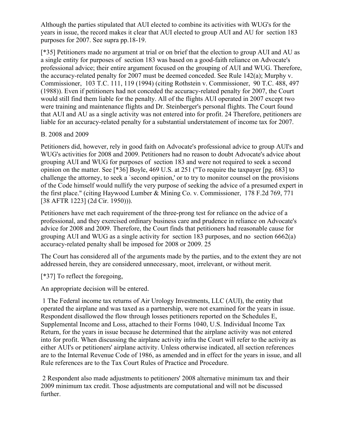Although the parties stipulated that AUI elected to combine its activities with WUG's for the years in issue, the record makes it clear that AUI elected to group AUI and AU for section 183 purposes for 2007. See supra pp.18-19.

[\*35] Petitioners made no argument at trial or on brief that the election to group AUI and AU as a single entity for purposes of section 183 was based on a good-faith reliance on Advocate's professional advice; their entire argument focused on the grouping of AUI and WUG. Therefore, the accuracy-related penalty for 2007 must be deemed conceded. See Rule 142(a); Murphy v. Commissioner, 103 T.C. 111, 119 (1994) (citing Rothstein v. Commissioner, 90 T.C. 488, 497 (1988)). Even if petitioners had not conceded the accuracy-related penalty for 2007, the Court would still find them liable for the penalty. All of the flights AUI operated in 2007 except two were training and maintenance flights and Dr. Steinberger's personal flights. The Court found that AUI and AU as a single activity was not entered into for profit. 24 Therefore, petitioners are liable for an accuracy-related penalty for a substantial understatement of income tax for 2007.

## B. 2008 and 2009

Petitioners did, however, rely in good faith on Advocate's professional advice to group AUI's and WUG's activities for 2008 and 2009. Petitioners had no reason to doubt Advocate's advice about grouping AUI and WUG for purposes of section 183 and were not required to seek a second opinion on the matter. See [\*36] Boyle, 469 U.S. at 251 ("To require the taxpayer [pg. 683] to challenge the attorney, to seek a `second opinion,' or to try to monitor counsel on the provisions of the Code himself would nullify the very purpose of seeking the advice of a presumed expert in the first place." (citing Haywood Lumber & Mining Co. v. Commissioner, 178 F.2d 769, 771 [38 AFTR 1223] (2d Cir. 1950))).

Petitioners have met each requirement of the three-prong test for reliance on the advice of a professional, and they exercised ordinary business care and prudence in reliance on Advocate's advice for 2008 and 2009. Therefore, the Court finds that petitioners had reasonable cause for grouping AUI and WUG as a single activity for section 183 purposes, and no section 6662(a) accuracy-related penalty shall be imposed for 2008 or 2009. 25

The Court has considered all of the arguments made by the parties, and to the extent they are not addressed herein, they are considered unnecessary, moot, irrelevant, or without merit.

[\*37] To reflect the foregoing,

An appropriate decision will be entered.

1 The Federal income tax returns of Air Urology Investments, LLC (AUI), the entity that operated the airplane and was taxed as a partnership, were not examined for the years in issue. Respondent disallowed the flow through losses petitioners reported on the Schedules E, Supplemental Income and Loss, attached to their Forms 1040, U.S. Individual Income Tax Return, for the years in issue because he determined that the airplane activity was not entered into for profit. When discussing the airplane activity infra the Court will refer to the activity as either AUI's or petitioners' airplane activity. Unless otherwise indicated, all section references are to the Internal Revenue Code of 1986, as amended and in effect for the years in issue, and all Rule references are to the Tax Court Rules of Practice and Procedure.

2 Respondent also made adjustments to petitioners' 2008 alternative minimum tax and their 2009 minimum tax credit. Those adjustments are computational and will not be discussed further.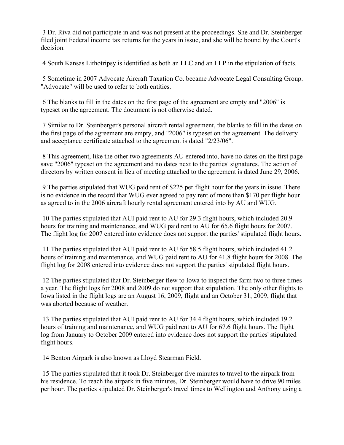3 Dr. Riva did not participate in and was not present at the proceedings. She and Dr. Steinberger filed joint Federal income tax returns for the years in issue, and she will be bound by the Court's decision.

4 South Kansas Lithotripsy is identified as both an LLC and an LLP in the stipulation of facts.

5 Sometime in 2007 Advocate Aircraft Taxation Co. became Advocate Legal Consulting Group. "Advocate" will be used to refer to both entities.

6 The blanks to fill in the dates on the first page of the agreement are empty and "2006" is typeset on the agreement. The document is not otherwise dated.

7 Similar to Dr. Steinberger's personal aircraft rental agreement, the blanks to fill in the dates on the first page of the agreement are empty, and "2006" is typeset on the agreement. The delivery and acceptance certificate attached to the agreement is dated "2/23/06".

8 This agreement, like the other two agreements AU entered into, have no dates on the first page save "2006" typeset on the agreement and no dates next to the parties' signatures. The action of directors by written consent in lieu of meeting attached to the agreement is dated June 29, 2006.

9 The parties stipulated that WUG paid rent of \$225 per flight hour for the years in issue. There is no evidence in the record that WUG ever agreed to pay rent of more than \$170 per flight hour as agreed to in the 2006 aircraft hourly rental agreement entered into by AU and WUG.

10 The parties stipulated that AUI paid rent to AU for 29.3 flight hours, which included 20.9 hours for training and maintenance, and WUG paid rent to AU for 65.6 flight hours for 2007. The flight log for 2007 entered into evidence does not support the parties' stipulated flight hours.

11 The parties stipulated that AUI paid rent to AU for 58.5 flight hours, which included 41.2 hours of training and maintenance, and WUG paid rent to AU for 41.8 flight hours for 2008. The flight log for 2008 entered into evidence does not support the parties' stipulated flight hours.

12 The parties stipulated that Dr. Steinberger flew to Iowa to inspect the farm two to three times a year. The flight logs for 2008 and 2009 do not support that stipulation. The only other flights to Iowa listed in the flight logs are an August 16, 2009, flight and an October 31, 2009, flight that was aborted because of weather.

13 The parties stipulated that AUI paid rent to AU for 34.4 flight hours, which included 19.2 hours of training and maintenance, and WUG paid rent to AU for 67.6 flight hours. The flight log from January to October 2009 entered into evidence does not support the parties' stipulated flight hours.

14 Benton Airpark is also known as Lloyd Stearman Field.

15 The parties stipulated that it took Dr. Steinberger five minutes to travel to the airpark from his residence. To reach the airpark in five minutes, Dr. Steinberger would have to drive 90 miles per hour. The parties stipulated Dr. Steinberger's travel times to Wellington and Anthony using a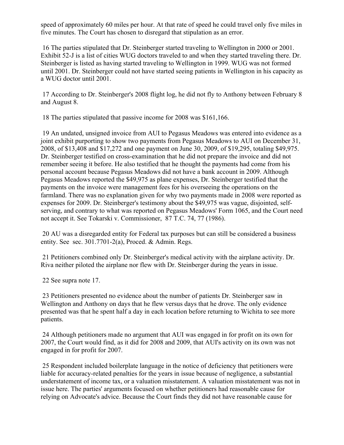speed of approximately 60 miles per hour. At that rate of speed he could travel only five miles in five minutes. The Court has chosen to disregard that stipulation as an error.

16 The parties stipulated that Dr. Steinberger started traveling to Wellington in 2000 or 2001. Exhibit 52-J is a list of cities WUG doctors traveled to and when they started traveling there. Dr. Steinberger is listed as having started traveling to Wellington in 1999. WUG was not formed until 2001. Dr. Steinberger could not have started seeing patients in Wellington in his capacity as a WUG doctor until 2001.

17 According to Dr. Steinberger's 2008 flight log, he did not fly to Anthony between February 8 and August 8.

18 The parties stipulated that passive income for 2008 was \$161,166.

19 An undated, unsigned invoice from AUI to Pegasus Meadows was entered into evidence as a joint exhibit purporting to show two payments from Pegasus Meadows to AUI on December 31, 2008, of \$13,408 and \$17,272 and one payment on June 30, 2009, of \$19,295, totaling \$49,975. Dr. Steinberger testified on cross-examination that he did not prepare the invoice and did not remember seeing it before. He also testified that he thought the payments had come from his personal account because Pegasus Meadows did not have a bank account in 2009. Although Pegasus Meadows reported the \$49,975 as plane expenses, Dr. Steinberger testified that the payments on the invoice were management fees for his overseeing the operations on the farmland. There was no explanation given for why two payments made in 2008 were reported as expenses for 2009. Dr. Steinberger's testimony about the \$49,975 was vague, disjointed, selfserving, and contrary to what was reported on Pegasus Meadows' Form 1065, and the Court need not accept it. See Tokarski v. Commissioner, 87 T.C. 74, 77 (1986).

20 AU was a disregarded entity for Federal tax purposes but can still be considered a business entity. See sec. 301.7701-2(a), Proced. & Admin. Regs.

21 Petitioners combined only Dr. Steinberger's medical activity with the airplane activity. Dr. Riva neither piloted the airplane nor flew with Dr. Steinberger during the years in issue.

22 See supra note 17.

23 Petitioners presented no evidence about the number of patients Dr. Steinberger saw in Wellington and Anthony on days that he flew versus days that he drove. The only evidence presented was that he spent half a day in each location before returning to Wichita to see more patients.

24 Although petitioners made no argument that AUI was engaged in for profit on its own for 2007, the Court would find, as it did for 2008 and 2009, that AUI's activity on its own was not engaged in for profit for 2007.

25 Respondent included boilerplate language in the notice of deficiency that petitioners were liable for accuracy-related penalties for the years in issue because of negligence, a substantial understatement of income tax, or a valuation misstatement. A valuation misstatement was not in issue here. The parties' arguments focused on whether petitioners had reasonable cause for relying on Advocate's advice. Because the Court finds they did not have reasonable cause for